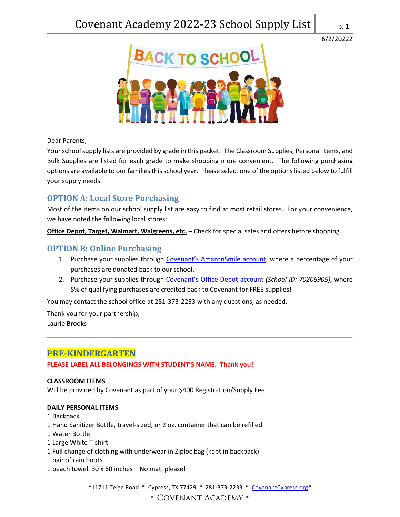

Dear Parents,

Your school supply lists are provided by grade in this packet. The Classroom Supplies, Personal Items, and Bulk Supplies are listed for each grade to make shopping more convenient. The following purchasing options are available to our families this school year. Please select one of the options listed below to fulfill your supply needs.

# **OPTION A: Local Store Purchasing**

Most of the items on our school supply list are easy to find at most retail stores. For your convenience, we have noted the following local stores:

**Office Depot, Target, Walmart, Walgreens, etc.** – Check for special sales and offers before shopping.

# **OPTION B: Online Purchasing**

- 1. Purchase your supplies through [Covenant's AmazonSmile account](http://smile.amazon.com/ch/30-0152850), where a percentage of your purchases are donated back to our school.
- 2. Purchase your supplies through [Covenant's Office Depot](https://www.officedepot.com/cm/school-supplies/give-back?cm_sp=FooterLinks-_-products-_-5PercentBack) account *(School ID: 70206905)*, where 5% of qualifying purchases are credited back to Covenant for FREE supplies!

You may contact the school office at 281-373-2233 with any questions, as needed.

Thank you for your partnership, Laurie Brooks

# **PRE-KINDERGARTEN**

**PLEASE LABEL ALL BELONGINGS WITH STUDENT'S NAME. Thank you!**

## **CLASSROOM ITEMS**

Will be provided by Covenant as part of your \$400 Registration/Supply Fee

#### **DAILY PERSONAL ITEMS**

- 1 Backpack
- 1 Hand Sanitizer Bottle, travel-sized, or 2 oz. container that can be refilled
- 1 Water Bottle
- 1 Large White T-shirt
- 1 Full change of clothing with underwear in Ziploc bag (kept in backpack)
- 1 pair of rain boots
- 1 beach towel, 30 x 60 inches No mat, please!

\*11711 Telge Road \* Cypress, TX 77429 \* 281-373-2233 \* [CovenantCypress.org\\*](https://www.covenantcypress.org/) \* COVENANT ACADEMY \*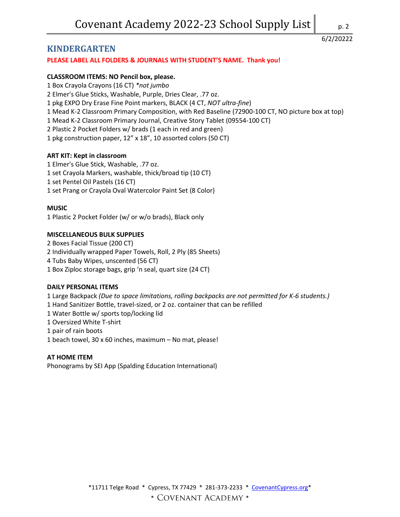# **KINDERGARTEN**

## **PLEASE LABEL ALL FOLDERS & JOURNALS WITH STUDENT'S NAME. Thank you!**

### **CLASSROOM ITEMS: NO Pencil box, please.**

- 1 Box Crayola Crayons (16 CT) *\*not jumbo*
- 2 Elmer's Glue Sticks, Washable, Purple, Dries Clear, .77 oz.
- 1 pkg EXPO Dry Erase Fine Point markers, BLACK (4 CT, *NOT ultra-fine*)
- 1 Mead K-2 Classroom Primary Composition, with Red Baseline (72900-100 CT, NO picture box at top)
- 1 Mead K-2 Classroom Primary Journal, Creative Story Tablet (09554-100 CT)
- 2 Plastic 2 Pocket Folders w/ brads (1 each in red and green)
- 1 pkg construction paper, 12" x 18", 10 assorted colors (50 CT)

## **ART KIT: Kept in classroom**

- 1 Elmer's Glue Stick, Washable, .77 oz.
- 1 set Crayola Markers, washable, thick/broad tip (10 CT)
- 1 set Pentel Oil Pastels (16 CT)
- 1 set Prang or Crayola Oval Watercolor Paint Set (8 Color)

## **MUSIC**

1 Plastic 2 Pocket Folder (w/ or w/o brads), Black only

#### **MISCELLANEOUS BULK SUPPLIES**

2 Boxes Facial Tissue (200 CT) 2 Individually wrapped Paper Towels, Roll, 2 Ply (85 Sheets) 4 Tubs Baby Wipes, unscented (56 CT) 1 Box Ziploc storage bags, grip 'n seal, quart size (24 CT)

#### **DAILY PERSONAL ITEMS**

1 Large Backpack *(Due to space limitations, rolling backpacks are not permitted for K-6 students.)* 1 Hand Sanitizer Bottle, travel-sized, or 2 oz. container that can be refilled 1 Water Bottle w/ sports top/locking lid 1 Oversized White T-shirt 1 pair of rain boots 1 beach towel, 30 x 60 inches, maximum – No mat, please!

#### **AT HOME ITEM**

Phonograms by SEI App (Spalding Education International)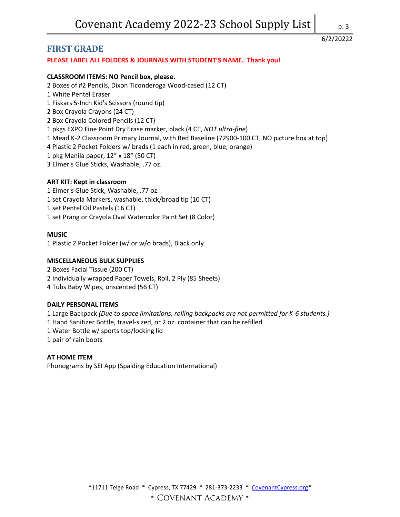# **FIRST GRADE**

# **PLEASE LABEL ALL FOLDERS & JOURNALS WITH STUDENT'S NAME. Thank you!**

# **CLASSROOM ITEMS: NO Pencil box, please.**

2 Boxes of #2 Pencils, Dixon Ticonderoga Wood-cased (12 CT) 1 White Pentel Eraser 1 Fiskars 5-Inch Kid's Scissors (round tip) 2 Box Crayola Crayons (24 CT) 2 Box Crayola Colored Pencils (12 CT) 1 pkgs EXPO Fine Point Dry Erase marker, black (4 CT, *NOT ultra-fine*) 1 Mead K-2 Classroom Primary Journal, with Red Baseline (72900-100 CT, NO picture box at top) 4 Plastic 2 Pocket Folders w/ brads (1 each in red, green, blue, orange) 1 pkg Manila paper, 12" x 18" (50 CT) 3 Elmer's Glue Sticks, Washable, .77 oz.

## **ART KIT: Kept in classroom**

1 Elmer's Glue Stick, Washable, .77 oz. 1 set Crayola Markers, washable, thick/broad tip (10 CT) 1 set Pentel Oil Pastels (16 CT) 1 set Prang or Crayola Oval Watercolor Paint Set (8 Color)

## **MUSIC**

1 Plastic 2 Pocket Folder (w/ or w/o brads), Black only

### **MISCELLANEOUS BULK SUPPLIES**

2 Boxes Facial Tissue (200 CT) 2 Individually wrapped Paper Towels, Roll, 2 Ply (85 Sheets) 4 Tubs Baby Wipes, unscented (56 CT)

#### **DAILY PERSONAL ITEMS**

1 Large Backpack *(Due to space limitations, rolling backpacks are not permitted for K-6 students.)* 1 Hand Sanitizer Bottle, travel-sized, or 2 oz. container that can be refilled 1 Water Bottle w/ sports top/locking lid 1 pair of rain boots

#### **AT HOME ITEM**

Phonograms by SEI App (Spalding Education International)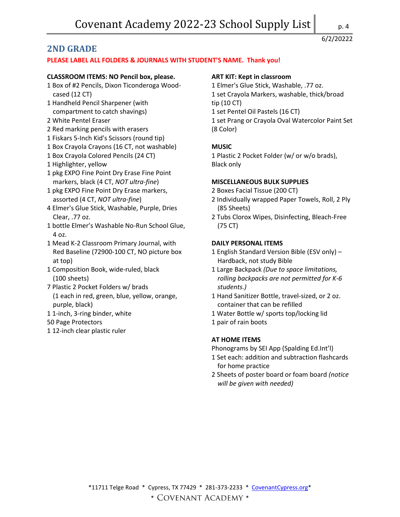# **2ND GRADE**

#### **PLEASE LABEL ALL FOLDERS & JOURNALS WITH STUDENT'S NAME. Thank you!**

#### **CLASSROOM ITEMS: NO Pencil box, please.**

- 1 Box of #2 Pencils, Dixon Ticonderoga Woodcased (12 CT)
- 1 Handheld Pencil Sharpener (with compartment to catch shavings)
- 2 White Pentel Eraser
- 2 Red marking pencils with erasers
- 1 Fiskars 5-Inch Kid's Scissors (round tip)
- 1 Box Crayola Crayons (16 CT, not washable)
- 1 Box Crayola Colored Pencils (24 CT)
- 1 Highlighter, yellow
- 1 pkg EXPO Fine Point Dry Erase Fine Point markers, black (4 CT, *NOT ultra-fine*)
- 1 pkg EXPO Fine Point Dry Erase markers, assorted (4 CT, *NOT ultra-fine*)
- 4 Elmer's Glue Stick, Washable, Purple, Dries Clear, .77 oz.
- 1 bottle Elmer's Washable No-Run School Glue, 4 oz.
- 1 Mead K-2 Classroom Primary Journal, with Red Baseline (72900-100 CT, NO picture box at top)
- 1 Composition Book, wide-ruled, black (100 sheets)
- 7 Plastic 2 Pocket Folders w/ brads (1 each in red, green, blue, yellow, orange, purple, black)
- 1 1-inch, 3-ring binder, white

#### 50 Page Protectors

1 12-inch clear plastic ruler

#### **ART KIT: Kept in classroom**

1 Elmer's Glue Stick, Washable, .77 oz. 1 set Crayola Markers, washable, thick/broad tip (10 CT) 1 set Pentel Oil Pastels (16 CT) 1 set Prang or Crayola Oval Watercolor Paint Set (8 Color)

## **MUSIC**

1 Plastic 2 Pocket Folder (w/ or w/o brads), Black only

#### **MISCELLANEOUS BULK SUPPLIES**

- 2 Boxes Facial Tissue (200 CT)
- 2 Individually wrapped Paper Towels, Roll, 2 Ply (85 Sheets)
- 2 Tubs Clorox Wipes, Disinfecting, Bleach-Free (75 CT)

#### **DAILY PERSONAL ITEMS**

- 1 English Standard Version Bible (ESV only) Hardback, not study Bible
- 1 Large Backpack *(Due to space limitations, rolling backpacks are not permitted for K-6 students.)*
- 1 Hand Sanitizer Bottle, travel-sized, or 2 oz. container that can be refilled
- 1 Water Bottle w/ sports top/locking lid
- 1 pair of rain boots

#### **AT HOME ITEMS**

Phonograms by SEI App (Spalding Ed.Int'l)

- 1 Set each: addition and subtraction flashcards for home practice
- 2 Sheets of poster board or foam board *(notice will be given with needed)*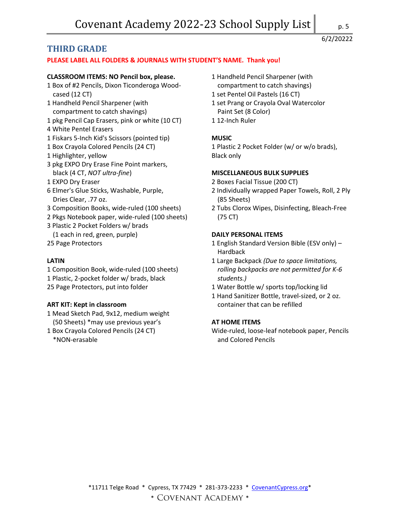# **THIRD GRADE**

## **PLEASE LABEL ALL FOLDERS & JOURNALS WITH STUDENT'S NAME. Thank you!**

#### **CLASSROOM ITEMS: NO Pencil box, please.**

- 1 Box of #2 Pencils, Dixon Ticonderoga Woodcased (12 CT)
- 1 Handheld Pencil Sharpener (with compartment to catch shavings)
- 1 pkg Pencil Cap Erasers, pink or white (10 CT)
- 4 White Pentel Erasers
- 1 Fiskars 5-Inch Kid's Scissors (pointed tip)
- 1 Box Crayola Colored Pencils (24 CT)
- 1 Highlighter, yellow
- 3 pkg EXPO Dry Erase Fine Point markers, black (4 CT, *NOT ultra-fine*)
- 1 EXPO Dry Eraser
- 6 Elmer's Glue Sticks, Washable, Purple, Dries Clear, .77 oz.
- 3 Composition Books, wide-ruled (100 sheets)
- 2 Pkgs Notebook paper, wide-ruled (100 sheets)
- 3 Plastic 2 Pocket Folders w/ brads
- (1 each in red, green, purple)
- 25 Page Protectors

### **LATIN**

1 Composition Book, wide-ruled (100 sheets) 1 Plastic, 2-pocket folder w/ brads, black 25 Page Protectors, put into folder

## **ART KIT: Kept in classroom**

- 1 Mead Sketch Pad, 9x12, medium weight (50 Sheets) \*may use previous year's
- 1 Box Crayola Colored Pencils (24 CT) \*NON-erasable
- 1 Handheld Pencil Sharpener (with
	- compartment to catch shavings)
- 1 set Pentel Oil Pastels (16 CT)
- 1 set Prang or Crayola Oval Watercolor Paint Set (8 Color)
- 1 12-Inch Ruler

## **MUSIC**

1 Plastic 2 Pocket Folder (w/ or w/o brads), Black only

#### **MISCELLANEOUS BULK SUPPLIES**

- 2 Boxes Facial Tissue (200 CT)
- 2 Individually wrapped Paper Towels, Roll, 2 Ply (85 Sheets)
- 2 Tubs Clorox Wipes, Disinfecting, Bleach-Free (75 CT)

## **DAILY PERSONAL ITEMS**

- 1 English Standard Version Bible (ESV only) Hardback
- 1 Large Backpack *(Due to space limitations, rolling backpacks are not permitted for K-6 students.)*
- 1 Water Bottle w/ sports top/locking lid
- 1 Hand Sanitizer Bottle, travel-sized, or 2 oz. container that can be refilled

#### **AT HOME ITEMS**

Wide-ruled, loose-leaf notebook paper, Pencils and Colored Pencils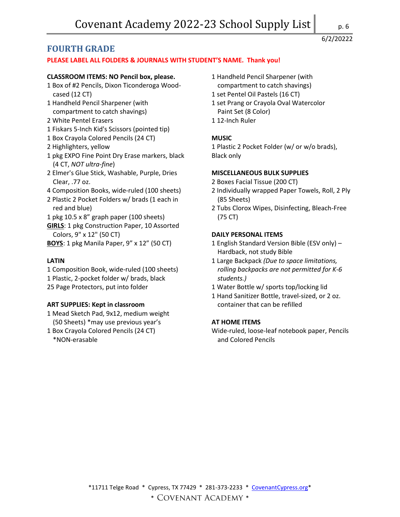# **FOURTH GRADE**

## **PLEASE LABEL ALL FOLDERS & JOURNALS WITH STUDENT'S NAME. Thank you!**

### **CLASSROOM ITEMS: NO Pencil box, please.**

- 1 Box of #2 Pencils, Dixon Ticonderoga Woodcased (12 CT)
- 1 Handheld Pencil Sharpener (with compartment to catch shavings)
- 2 White Pentel Erasers
- 1 Fiskars 5-Inch Kid's Scissors (pointed tip)
- 1 Box Crayola Colored Pencils (24 CT)
- 2 Highlighters, yellow
- 1 pkg EXPO Fine Point Dry Erase markers, black (4 CT, *NOT ultra-fine*)
- 2 Elmer's Glue Stick, Washable, Purple, Dries Clear, .77 oz.
- 4 Composition Books, wide-ruled (100 sheets)
- 2 Plastic 2 Pocket Folders w/ brads (1 each in red and blue)
- 1 pkg 10.5 x 8" graph paper (100 sheets)
- **GIRLS**: 1 pkg Construction Paper, 10 Assorted Colors, 9" x 12" (50 CT)
- **BOYS**: 1 pkg Manila Paper, 9" x 12" (50 CT)

#### **LATIN**

1 Composition Book, wide-ruled (100 sheets) 1 Plastic, 2-pocket folder w/ brads, black 25 Page Protectors, put into folder

## **ART SUPPLIES: Kept in classroom**

- 1 Mead Sketch Pad, 9x12, medium weight (50 Sheets) \*may use previous year's
- 1 Box Crayola Colored Pencils (24 CT) \*NON-erasable
- 1 Handheld Pencil Sharpener (with
	- compartment to catch shavings)
- 1 set Pentel Oil Pastels (16 CT)
- 1 set Prang or Crayola Oval Watercolor Paint Set (8 Color)
- 1 12-Inch Ruler

## **MUSIC**

1 Plastic 2 Pocket Folder (w/ or w/o brads), Black only

#### **MISCELLANEOUS BULK SUPPLIES**

- 2 Boxes Facial Tissue (200 CT)
- 2 Individually wrapped Paper Towels, Roll, 2 Ply (85 Sheets)
- 2 Tubs Clorox Wipes, Disinfecting, Bleach-Free (75 CT)

## **DAILY PERSONAL ITEMS**

- 1 English Standard Version Bible (ESV only) Hardback, not study Bible
- 1 Large Backpack *(Due to space limitations, rolling backpacks are not permitted for K-6 students.)*
- 1 Water Bottle w/ sports top/locking lid
- 1 Hand Sanitizer Bottle, travel-sized, or 2 oz. container that can be refilled

#### **AT HOME ITEMS**

Wide-ruled, loose-leaf notebook paper, Pencils and Colored Pencils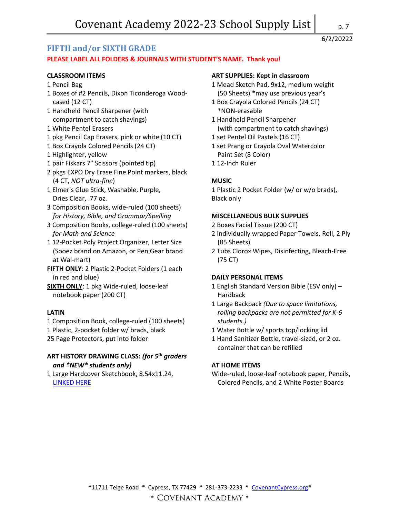# **FIFTH and/or SIXTH GRADE**

# **PLEASE LABEL ALL FOLDERS & JOURNALS WITH STUDENT'S NAME. Thank you!**

# **CLASSROOM ITEMS**

- 1 Pencil Bag
- 1 Boxes of #2 Pencils, Dixon Ticonderoga Woodcased (12 CT)
- 1 Handheld Pencil Sharpener (with compartment to catch shavings)
- 1 White Pentel Erasers
- 1 pkg Pencil Cap Erasers, pink or white (10 CT)
- 1 Box Crayola Colored Pencils (24 CT)
- 1 Highlighter, yellow
- 1 pair Fiskars 7" Scissors (pointed tip)
- 2 pkgs EXPO Dry Erase Fine Point markers, black (4 CT, *NOT ultra-fine*)
- 1 Elmer's Glue Stick, Washable, Purple, Dries Clear, .77 oz.
- 3 Composition Books, wide-ruled (100 sheets) *for History, Bible, and Grammar/Spelling*
- 3 Composition Books, college-ruled (100 sheets) *for Math and Science*
- 1 12-Pocket Poly Project Organizer, Letter Size (Sooez brand on Amazon, or Pen Gear brand at Wal-mart)
- **FIFTH ONLY**: 2 Plastic 2-Pocket Folders (1 each in red and blue)
- **SIXTH ONLY**: 1 pkg Wide-ruled, loose-leaf notebook paper (200 CT)

# **LATIN**

1 Composition Book, college-ruled (100 sheets)

- 1 Plastic, 2-pocket folder w/ brads, black
- 25 Page Protectors, put into folder

# **ART HISTORY DRAWING CLASS:** *(for 5th graders and \*NEW\* students only)*

1 Large Hardcover Sketchbook, 8.54x11.24, [LINKED HERE](https://smile.amazon.com/Large-Sketchbook-Watson-Guptill-Sketchbooks/dp/0823005194/ref=sr_1_1?dchild=1&qid=1624641168&refinements=p_27%3AWatson-Guptill&s=books&sr=1-1&text=Watson-Guptill)

# **ART SUPPLIES: Kept in classroom**

- 1 Mead Sketch Pad, 9x12, medium weight (50 Sheets) \*may use previous year's
- 1 Box Crayola Colored Pencils (24 CT) \*NON-erasable
- 1 Handheld Pencil Sharpener (with compartment to catch shavings)
- 1 set Pentel Oil Pastels (16 CT)
- 1 set Prang or Crayola Oval Watercolor Paint Set (8 Color)
- 1 12-Inch Ruler

# **MUSIC**

1 Plastic 2 Pocket Folder (w/ or w/o brads), Black only

## **MISCELLANEOUS BULK SUPPLIES**

- 2 Boxes Facial Tissue (200 CT)
- 2 Individually wrapped Paper Towels, Roll, 2 Ply (85 Sheets)
- 2 Tubs Clorox Wipes, Disinfecting, Bleach-Free (75 CT)

#### **DAILY PERSONAL ITEMS**

- 1 English Standard Version Bible (ESV only) Hardback
- 1 Large Backpack *(Due to space limitations, rolling backpacks are not permitted for K-6 students.)*
- 1 Water Bottle w/ sports top/locking lid
- 1 Hand Sanitizer Bottle, travel-sized, or 2 oz. container that can be refilled

## **AT HOME ITEMS**

Wide-ruled, loose-leaf notebook paper, Pencils, Colored Pencils, and 2 White Poster Boards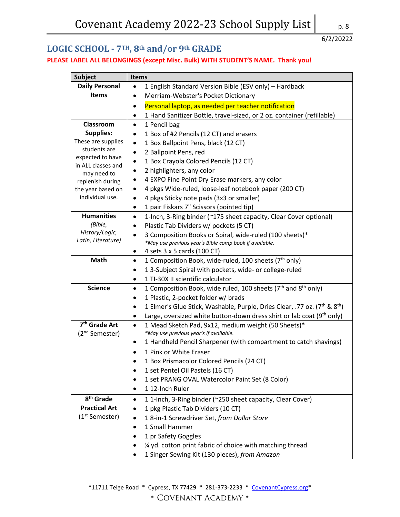# **LOGIC SCHOOL - 7TH, 8th and/or 9th GRADE**

# **PLEASE LABEL ALL BELONGINGS (except Misc. Bulk) WITH STUDENT'S NAME. Thank you!**

| <b>Subject</b>                         | <b>Items</b>                                                                                                   |
|----------------------------------------|----------------------------------------------------------------------------------------------------------------|
| <b>Daily Personal</b>                  | 1 English Standard Version Bible (ESV only) - Hardback                                                         |
| <b>Items</b>                           | Merriam-Webster's Pocket Dictionary<br>$\bullet$                                                               |
|                                        | Personal laptop, as needed per teacher notification<br>٠                                                       |
|                                        | 1 Hand Sanitizer Bottle, travel-sized, or 2 oz. container (refillable)<br>٠                                    |
| Classroom                              | 1 Pencil bag                                                                                                   |
| <b>Supplies:</b>                       | 1 Box of #2 Pencils (12 CT) and erasers<br>٠                                                                   |
| These are supplies                     | 1 Box Ballpoint Pens, black (12 CT)                                                                            |
| students are                           | 2 Ballpoint Pens, red                                                                                          |
| expected to have<br>in ALL classes and | 1 Box Crayola Colored Pencils (12 CT)<br>$\bullet$                                                             |
| may need to                            | 2 highlighters, any color                                                                                      |
| replenish during                       | 4 EXPO Fine Point Dry Erase markers, any color                                                                 |
| the year based on                      | 4 pkgs Wide-ruled, loose-leaf notebook paper (200 CT)<br>٠                                                     |
| individual use.                        | 4 pkgs Sticky note pads (3x3 or smaller)<br>٠                                                                  |
|                                        | 1 pair Fiskars 7" Scissors (pointed tip)<br>٠                                                                  |
| <b>Humanities</b>                      | 1-Inch, 3-Ring binder (~175 sheet capacity, Clear Cover optional)<br>$\bullet$                                 |
| (Bible,                                | Plastic Tab Dividers w/ pockets (5 CT)                                                                         |
| History/Logic,                         | 3 Composition Books or Spiral, wide-ruled (100 sheets)*<br>$\bullet$                                           |
| Latin, Literature)                     | *May use previous year's Bible comp book if available.                                                         |
|                                        | 4 sets 3 x 5 cards (100 CT)<br>٠                                                                               |
| Math                                   | 1 Composition Book, wide-ruled, 100 sheets (7 <sup>th</sup> only)<br>$\bullet$                                 |
|                                        | 1 3-Subject Spiral with pockets, wide- or college-ruled                                                        |
|                                        | 1 TI-30X II scientific calculator<br>$\bullet$                                                                 |
| <b>Science</b>                         | 1 Composition Book, wide ruled, 100 sheets ( $7th$ and $8th$ only)<br>$\bullet$                                |
|                                        | 1 Plastic, 2-pocket folder w/ brads                                                                            |
|                                        | 1 Elmer's Glue Stick, Washable, Purple, Dries Clear, .77 oz. (7 <sup>th</sup> & 8 <sup>th</sup> )<br>$\bullet$ |
|                                        | Large, oversized white button-down dress shirt or lab coat $(9th$ only)<br>٠                                   |
| 7 <sup>th</sup> Grade Art              | 1 Mead Sketch Pad, 9x12, medium weight (50 Sheets)*<br>$\bullet$                                               |
| (2 <sup>nd</sup> Semester)             | *May use previous year's if available.                                                                         |
|                                        | 1 Handheld Pencil Sharpener (with compartment to catch shavings)<br>٠                                          |
|                                        | 1 Pink or White Eraser                                                                                         |
|                                        | 1 Box Prismacolor Colored Pencils (24 CT)<br>$\bullet$                                                         |
|                                        | 1 set Pentel Oil Pastels (16 CT)                                                                               |
|                                        | 1 set PRANG OVAL Watercolor Paint Set (8 Color)                                                                |
|                                        | 112-Inch Ruler<br>٠                                                                                            |
| 8 <sup>th</sup> Grade                  | 11-Inch, 3-Ring binder (~250 sheet capacity, Clear Cover)                                                      |
| <b>Practical Art</b>                   | 1 pkg Plastic Tab Dividers (10 CT)                                                                             |
| (1 <sup>st</sup> Semester)             | 18-in-1 Screwdriver Set, from Dollar Store                                                                     |
|                                        | 1 Small Hammer                                                                                                 |
|                                        | 1 pr Safety Goggles                                                                                            |
|                                        | 1/4 yd. cotton print fabric of choice with matching thread                                                     |
|                                        | 1 Singer Sewing Kit (130 pieces), from Amazon                                                                  |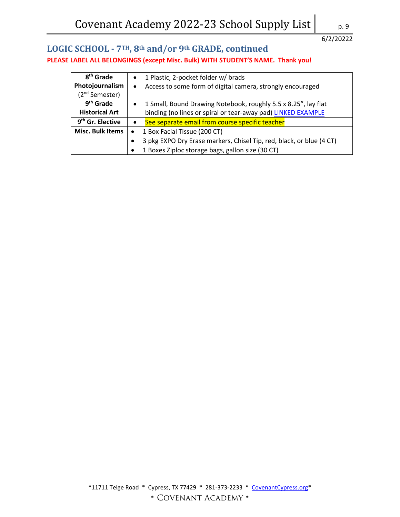# **LOGIC SCHOOL - 7TH, 8th and/or 9th GRADE, continued PLEASE LABEL ALL BELONGINGS (except Misc. Bulk) WITH STUDENT'S NAME. Thank you!**

| 8 <sup>th</sup> Grade        | 1 Plastic, 2-pocket folder w/ brads<br>$\bullet$                                  |
|------------------------------|-----------------------------------------------------------------------------------|
| Photojournalism              | Access to some form of digital camera, strongly encouraged<br>$\bullet$           |
| (2 <sup>nd</sup> Semester)   |                                                                                   |
| 9 <sup>th</sup> Grade        | 1 Small, Bound Drawing Notebook, roughly 5.5 x 8.25", lay flat<br>$\bullet$       |
| <b>Historical Art</b>        | binding (no lines or spiral or tear-away pad) <b>LINKED EXAMPLE</b>               |
| 9 <sup>th</sup> Gr. Elective | See separate email from course specific teacher                                   |
| <b>Misc. Bulk Items</b>      | 1 Box Facial Tissue (200 CT)<br>$\bullet$                                         |
|                              | 3 pkg EXPO Dry Erase markers, Chisel Tip, red, black, or blue (4 CT)<br>$\bullet$ |
|                              | 1 Boxes Ziploc storage bags, gallon size (30 CT)<br>$\bullet$                     |